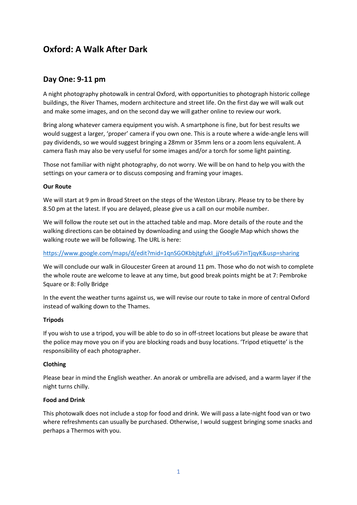# **Oxford: A Walk After Dark**

## **Day One: 9-11 pm**

A night photography photowalk in central Oxford, with opportunities to photograph historic college buildings, the River Thames, modern architecture and street life. On the first day we will walk out and make some images, and on the second day we will gather online to review our work.

Bring along whatever camera equipment you wish. A smartphone is fine, but for best results we would suggest a larger, 'proper' camera if you own one. This is a route where a wide-angle lens will pay dividends, so we would suggest bringing a 28mm or 35mm lens or a zoom lens equivalent. A camera flash may also be very useful for some images and/or a torch for some light painting.

Those not familiar with night photography, do not worry. We will be on hand to help you with the settings on your camera or to discuss composing and framing your images.

#### **Our Route**

We will start at 9 pm in Broad Street on the steps of the Weston Library. Please try to be there by 8.50 pm at the latest. If you are delayed, please give us a call on our mobile number.

We will follow the route set out in the attached table and map. More details of the route and the walking directions can be obtained by downloading and using the Google Map which shows the walking route we will be following. The URL is here:

#### [https://www.google.com/maps/d/edit?mid=1qnSGOKbbjtgfukI\\_jjYo45u67inTjqyK&usp=sharing](https://www.google.com/maps/d/edit?mid=1qnSGOKbbjtgfukI_jjYo45u67inTjqyK&usp=sharing)

We will conclude our walk in Gloucester Green at around 11 pm. Those who do not wish to complete the whole route are welcome to leave at any time, but good break points might be at 7: Pembroke Square or 8: Folly Bridge

In the event the weather turns against us, we will revise our route to take in more of central Oxford instead of walking down to the Thames.

#### **Tripods**

If you wish to use a tripod, you will be able to do so in off-street locations but please be aware that the police may move you on if you are blocking roads and busy locations. 'Tripod etiquette' is the responsibility of each photographer.

#### **Clothing**

Please bear in mind the English weather. An anorak or umbrella are advised, and a warm layer if the night turns chilly.

#### **Food and Drink**

This photowalk does not include a stop for food and drink. We will pass a late-night food van or two where refreshments can usually be purchased. Otherwise, I would suggest bringing some snacks and perhaps a Thermos with you.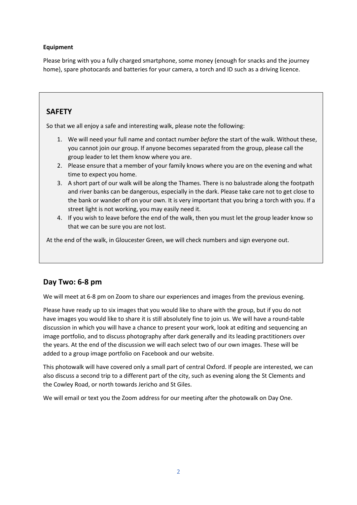### **Equipment**

Please bring with you a fully charged smartphone, some money (enough for snacks and the journey home), spare photocards and batteries for your camera, a torch and ID such as a driving licence.

## **SAFETY**

So that we all enjoy a safe and interesting walk, please note the following:

- 1. We will need your full name and contact number *before* the start of the walk. Without these, you cannot join our group. If anyone becomes separated from the group, please call the group leader to let them know where you are.
- 2. Please ensure that a member of your family knows where you are on the evening and what time to expect you home.
- 3. A short part of our walk will be along the Thames. There is no balustrade along the footpath and river banks can be dangerous, especially in the dark. Please take care not to get close to the bank or wander off on your own. It is very important that you bring a torch with you. If a street light is not working, you may easily need it.
- 4. If you wish to leave before the end of the walk, then you must let the group leader know so that we can be sure you are not lost.

At the end of the walk, in Gloucester Green, we will check numbers and sign everyone out.

## **Day Two: 6-8 pm**

We will meet at 6-8 pm on Zoom to share our experiences and images from the previous evening.

Please have ready up to six images that you would like to share with the group, but if you do not have images you would like to share it is still absolutely fine to join us. We will have a round-table discussion in which you will have a chance to present your work, look at editing and sequencing an image portfolio, and to discuss photography after dark generally and its leading practitioners over the years. At the end of the discussion we will each select two of our own images. These will be added to a group image portfolio on Facebook and our website.

This photowalk will have covered only a small part of central Oxford. If people are interested, we can also discuss a second trip to a different part of the city, such as evening along the St Clements and the Cowley Road, or north towards Jericho and St Giles.

We will email or text you the Zoom address for our meeting after the photowalk on Day One.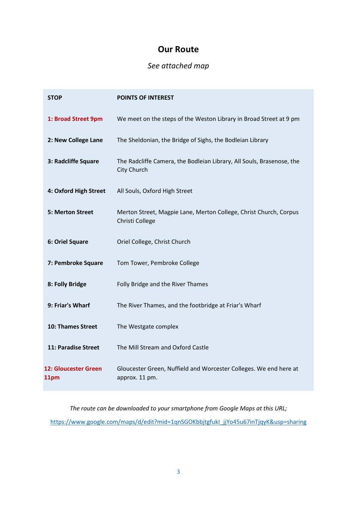# **Our Route**

# *See attached map*

| <b>STOP</b>                  | <b>POINTS OF INTEREST</b>                                                            |
|------------------------------|--------------------------------------------------------------------------------------|
| 1: Broad Street 9pm          | We meet on the steps of the Weston Library in Broad Street at 9 pm                   |
| 2: New College Lane          | The Sheldonian, the Bridge of Sighs, the Bodleian Library                            |
| 3: Radcliffe Square          | The Radcliffe Camera, the Bodleian Library, All Souls, Brasenose, the<br>City Church |
| 4: Oxford High Street        | All Souls, Oxford High Street                                                        |
| 5: Merton Street             | Merton Street, Magpie Lane, Merton College, Christ Church, Corpus<br>Christi College |
| 6: Oriel Square              | Oriel College, Christ Church                                                         |
| 7: Pembroke Square           | Tom Tower, Pembroke College                                                          |
| 8: Folly Bridge              | Folly Bridge and the River Thames                                                    |
| 9: Friar's Wharf             | The River Thames, and the footbridge at Friar's Wharf                                |
| 10: Thames Street            | The Westgate complex                                                                 |
| 11: Paradise Street          | The Mill Stream and Oxford Castle                                                    |
| 12: Gloucester Green<br>11pm | Gloucester Green, Nuffield and Worcester Colleges. We end here at<br>approx. 11 pm.  |

*The route can be downloaded to your smartphone from Google Maps at this URL;* [https://www.google.com/maps/d/edit?mid=1qnSGOKbbjtgfukI\\_jjYo45u67inTjqyK&usp=sharing](https://www.google.com/maps/d/edit?mid=1qnSGOKbbjtgfukI_jjYo45u67inTjqyK&usp=sharing)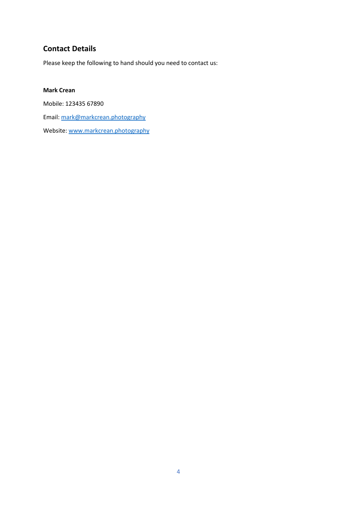# **Contact Details**

Please keep the following to hand should you need to contact us:

## **Mark Crean**

Mobile: 123435 67890 Email: [mark@markcrean.photography](mailto:mark@markcrean.photography) Website[: www.markcrean.photography](www.markcrean.photography)